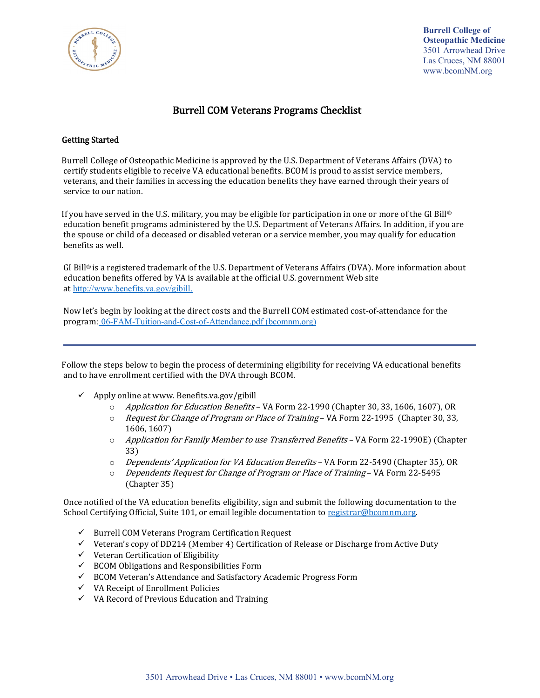

**Burrell College of Osteopathic Medicine** 3501 Arrowhead Drive Las Cruces, NM 88001 www.bcomNM.org

# Burrell COM Veterans Programs Checklist

## Getting Started

Burrell College of Osteopathic Medicine is approved by the U.S. Department of Veterans Affairs (DVA) to certify students eligible to receive VA educational benefits. BCOM is proud to assist service members, veterans, and their families in accessing the education benefits they have earned through their years of service to our nation.

If you have served in the U.S. military, you may be eligible for participation in one or more of the GI Bill® education benefit programs administered by the U.S. Department of Veterans Affairs. In addition, if you are the spouse or child of a deceased or disabled veteran or a service member, you may qualify for education benefits as well.

GI Bill® is a registered trademark of the U.S. Department of Veterans Affairs (DVA). More information about education benefits offered by VA is available at the official U.S. government Web site at [http://www.benefits.va.gov/gibill.](http://benefits.va.gov/gibill/index.asp)

Now let's begin by looking at the direct costs and the Burrell COM estimated cost-of-attendance for the program: [06-FAM-Tuition-and-Cost-of-Attendance.pdf \(bcomnm.org\)](https://bcomnm.org/wp-content/uploads/2022/04/06-FAM-Tuition-and-Cost-of-Attendance.pdf)

Follow the steps below to begin the process of determining eligibility for receiving VA educational benefits and to have enrollment certified with the DVA through BCOM.

- $\checkmark$  Apply online at www. Benefits.va.gov/gibill
	- o Application for Education Benefits VA Form 22-1990 (Chapter 30, 33, 1606, 1607), OR
	- o Request for Change of Program or Place of Training VA Form 22-1995 (Chapter 30, 33, 1606, 1607)
	- o Application for Family Member to use Transferred Benefits VA Form 22-1990E) (Chapter 33)
	- o Dependents' Application for VA Education Benefits VA Form 22-5490 (Chapter 35), OR
	- o Dependents Request for Change of Program or Place of Training VA Form 22-5495 (Chapter 35)

Once notified of the VA education benefits eligibility, sign and submit the following documentation to the School Certifying Official, Suite 101, or email legible documentation to [registrar@bcomnm.org.](mailto:registrar@bcomnm.org)

- $\checkmark$  Burrell COM Veterans Program Certification Request
- $\checkmark$  Veteran's copy of DD214 (Member 4) Certification of Release or Discharge from Active Duty
- $\checkmark$  Veteran Certification of Eligibility
- $\checkmark$  BCOM Obligations and Responsibilities Form
- BCOM Veteran's Attendance and Satisfactory Academic Progress Form
- $\checkmark$  VA Receipt of Enrollment Policies
- $\checkmark$  VA Record of Previous Education and Training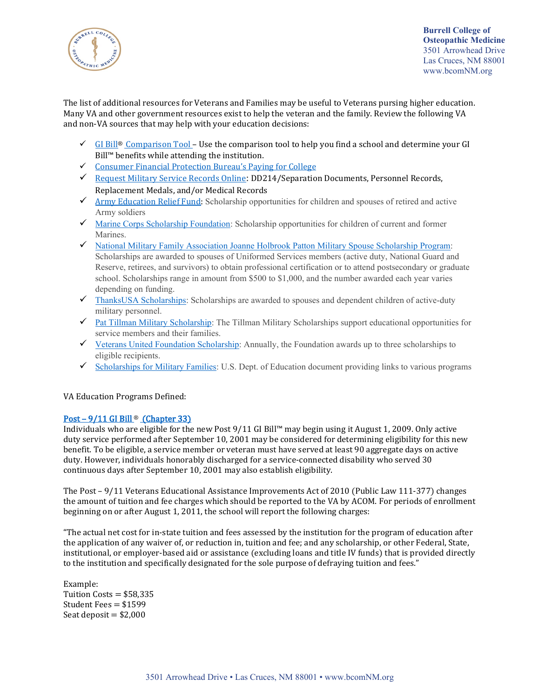

The list of additional resources for Veterans and Families may be useful to Veterans pursing higher education. Many VA and other government resources exist to help the veteran and the family. Review the following VA and non-VA sources that may help with your education decisions:

- $\checkmark$  GI Bill<sup>®</sup> Comparison Tool Use the comparison tool to help you find a school and determine your GI Bill™ benefits while attending the institution.
- [Consumer Financial Protection Bureau's Paying for College](https://www.consumerfinance.gov/paying-for-college/)
- [Request Military Service Records Online](https://www.archives.gov/veterans/military-service-records): DD214/Separation Documents, Personnel Records, Replacement Medals, and/or Medical Records
- $\checkmark$  [Army Education Relief Fund:](https://www.aerhq.org/) Scholarship opportunities for children and spouses of retired and active Army soldiers
- [Marine Corps Scholarship Foundation:](https://www.mcsf.org/) Scholarship opportunities for children of current and former Marines.
- [National Military Family Association Joanne Holbrook Patton Military Spouse Scholarship Program:](http://www.militaryfamily.org/spouses-scholarships/scholarships.html) Scholarships are awarded to spouses of Uniformed Services members (active duty, National Guard and Reserve, retirees, and survivors) to obtain professional certification or to attend postsecondary or graduate school. Scholarships range in amount from \$500 to \$1,000, and the number awarded each year varies depending on funding.
- $\checkmark$  [ThanksUSA Scholarships:](http://www.thanksusa.org/scholarships.html) Scholarships are awarded to spouses and dependent children of active-duty military personnel.
- $\checkmark$  [Pat Tillman Military Scholarship:](http://www.pattillmanfoundation.org/) The Tillman Military Scholarships support educational opportunities for service members and their families.
- $\checkmark$  [Veterans United Foundation Scholarship:](https://enhancelives.com/scholarships) Annually, the Foundation awards up to three scholarships to eligible recipients.
- $\checkmark$  [Scholarships for Military Families:](https://studentaid.ed.gov/sa/sites/default/files/scholarships-for-military.pdf) U.S. Dept. of Education document providing links to various programs

VA Education Programs Defined:

# [Post – 9/11 GI Bill](http://www.benefits.va.gov/gibill/post911_gibill.asp)  ® (Chapter 33)

Individuals who are eligible for the new Post 9/11 GI Bill™ may begin using it August 1, 2009. Only active duty service performed after September 10, 2001 may be considered for determining eligibility for this new benefit. To be eligible, a service member or veteran must have served at least 90 aggregate days on active duty. However, individuals honorably discharged for a service-connected disability who served 30 continuous days after September 10, 2001 may also establish eligibility.

The Post – 9/11 Veterans Educational Assistance Improvements Act of 2010 (Public Law 111-377) changes the amount of tuition and fee charges which should be reported to the VA by ACOM. For periods of enrollment beginning on or after August 1, 2011, the school will report the following charges:

"The actual net cost for in-state tuition and fees assessed by the institution for the program of education after the application of any waiver of, or reduction in, tuition and fee; and any scholarship, or other Federal, State, institutional, or employer-based aid or assistance (excluding loans and title IV funds) that is provided directly to the institution and specifically designated for the sole purpose of defraying tuition and fees."

Example: Tuition  $Costs = $58,335$ Student Fees = \$1599 Seat deposit  $= $2,000$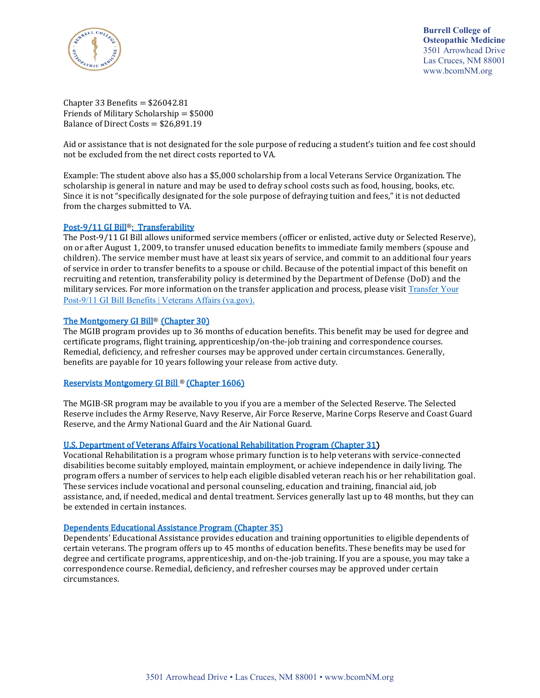

**Burrell College of Osteopathic Medicine** 3501 Arrowhead Drive Las Cruces, NM 88001 www.bcomNM.org

Chapter 33 Benefits  $= $26042.81$ Friends of Military Scholarship = \$5000 Balance of Direct Costs = \$26,891.19

Aid or assistance that is not designated for the sole purpose of reducing a student's tuition and fee cost should not be excluded from the net direct costs reported to VA.

Example: The student above also has a \$5,000 scholarship from a local Veterans Service Organization. The scholarship is general in nature and may be used to defray school costs such as food, housing, books, etc. Since it is not "specifically designated for the sole purpose of defraying tuition and fees," it is not deducted from the charges submitted to VA.

### [Post-9/11 GI Bill®: Transferability](http://www.benefits.va.gov/gibill/post911_transfer.asp)

The Post-9/11 GI Bill allows uniformed service members (officer or enlisted, active duty or Selected Reserve), on or after August 1, 2009, to transfer unused education benefits to immediate family members (spouse and children). The service member must have at least six years of service, and commit to an additional four years of service in order to transfer benefits to a spouse or child. Because of the potential impact of this benefit on recruiting and retention, transferability policy is determined by the Department of Defense (DoD) and the military services. For more information on the transfer application and process, please visit [Transfer Your](https://www.va.gov/education/transfer-post-9-11-gi-bill-benefits/)  [Post-9/11 GI Bill Benefits | Veterans Affairs \(va.gov\).](https://www.va.gov/education/transfer-post-9-11-gi-bill-benefits/)

### [The Montgomery GI Bill® \(Chapter 30\)](http://www.benefits.va.gov/gibill/mgib_ad.asp)

The MGIB program provides up to 36 months of education benefits. This benefit may be used for degree and certificate programs, flight training, apprenticeship/on-the-job training and correspondence courses. Remedial, deficiency, and refresher courses may be approved under certain circumstances. Generally, benefits are payable for 10 years following your release from active duty.

## [Reservists Montgomery GI Bill ® \(Chapter 1606\)](http://www.benefits.va.gov/gibill/mgib_sr.asp)

The MGIB-SR program may be available to you if you are a member of the Selected Reserve. The Selected Reserve includes the Army Reserve, Navy Reserve, Air Force Reserve, Marine Corps Reserve and Coast Guard Reserve, and the Army National Guard and the Air National Guard.

#### [U.S. Department of Veterans Affairs Vocational Rehabilitation Program \(Chapter 31\)](http://www.benefits.va.gov/vocrehab/index.asp)

Vocational Rehabilitation is a program whose primary function is to help veterans with service-connected disabilities become suitably employed, maintain employment, or achieve independence in daily living. The program offers a number of services to help each eligible disabled veteran reach his or her rehabilitation goal. These services include vocational and personal counseling, education and training, financial aid, job assistance, and, if needed, medical and dental treatment. Services generally last up to 48 months, but they can be extended in certain instances.

#### [Dependents Educational Assistance Program \(Chapter 35\)](http://www.benefits.va.gov/gibill/survivor_dependent_assistance.asp)

Dependents' Educational Assistance provides education and training opportunities to eligible dependents of certain veterans. The program offers up to 45 months of education benefits. These benefits may be used for degree and certificate programs, apprenticeship, and on-the-job training. If you are a spouse, you may take a correspondence course. Remedial, deficiency, and refresher courses may be approved under certain circumstances.